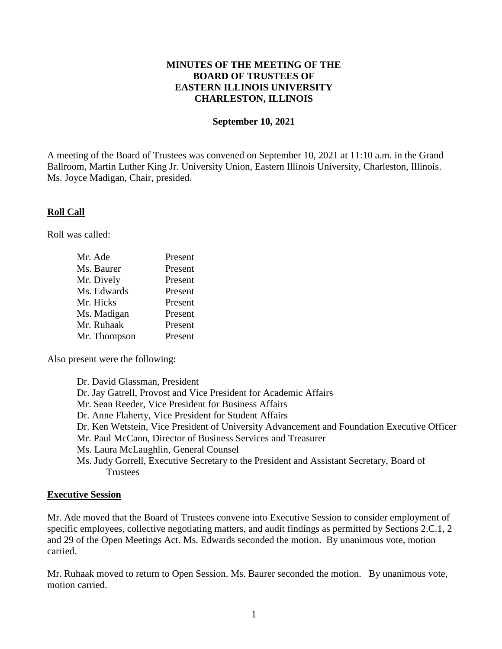# **MINUTES OF THE MEETING OF THE BOARD OF TRUSTEES OF EASTERN ILLINOIS UNIVERSITY CHARLESTON, ILLINOIS**

### **September 10, 2021**

A meeting of the Board of Trustees was convened on September 10, 2021 at 11:10 a.m. in the Grand Ballroom, Martin Luther King Jr. University Union, Eastern Illinois University, Charleston, Illinois. Ms. Joyce Madigan, Chair, presided.

### **Roll Call**

Roll was called:

| Mr. Ade      | Present |
|--------------|---------|
| Ms. Baurer   | Present |
| Mr. Dively   | Present |
| Ms. Edwards  | Present |
| Mr. Hicks    | Present |
| Ms. Madigan  | Present |
| Mr. Ruhaak   | Present |
| Mr. Thompson | Present |

Also present were the following:

Dr. David Glassman, President Dr. Jay Gatrell, Provost and Vice President for Academic Affairs Mr. Sean Reeder, Vice President for Business Affairs Dr. Anne Flaherty, Vice President for Student Affairs Dr. Ken Wetstein, Vice President of University Advancement and Foundation Executive Officer Mr. Paul McCann, Director of Business Services and Treasurer Ms. Laura McLaughlin, General Counsel Ms. Judy Gorrell, Executive Secretary to the President and Assistant Secretary, Board of **Trustees** 

### **Executive Session**

Mr. Ade moved that the Board of Trustees convene into Executive Session to consider employment of specific employees, collective negotiating matters, and audit findings as permitted by Sections 2.C.1, 2 and 29 of the Open Meetings Act. Ms. Edwards seconded the motion. By unanimous vote, motion carried.

Mr. Ruhaak moved to return to Open Session. Ms. Baurer seconded the motion. By unanimous vote, motion carried.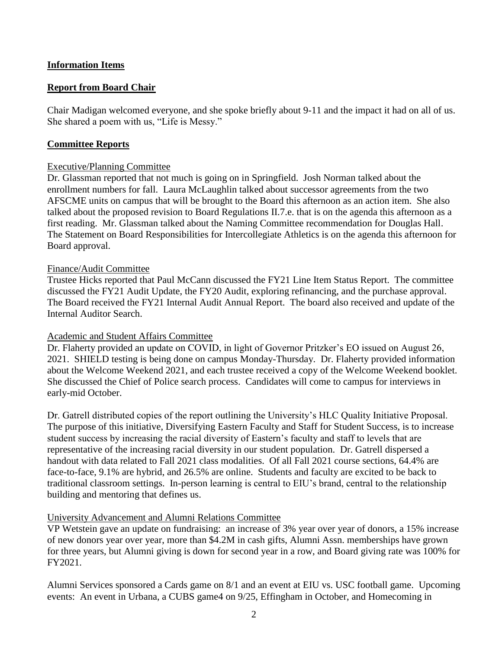# **Information Items**

# **Report from Board Chair**

Chair Madigan welcomed everyone, and she spoke briefly about 9-11 and the impact it had on all of us. She shared a poem with us, "Life is Messy."

## **Committee Reports**

### Executive/Planning Committee

Dr. Glassman reported that not much is going on in Springfield. Josh Norman talked about the enrollment numbers for fall. Laura McLaughlin talked about successor agreements from the two AFSCME units on campus that will be brought to the Board this afternoon as an action item. She also talked about the proposed revision to Board Regulations II.7.e. that is on the agenda this afternoon as a first reading. Mr. Glassman talked about the Naming Committee recommendation for Douglas Hall. The Statement on Board Responsibilities for Intercollegiate Athletics is on the agenda this afternoon for Board approval.

#### Finance/Audit Committee

Trustee Hicks reported that Paul McCann discussed the FY21 Line Item Status Report. The committee discussed the FY21 Audit Update, the FY20 Audit, exploring refinancing, and the purchase approval. The Board received the FY21 Internal Audit Annual Report. The board also received and update of the Internal Auditor Search.

### Academic and Student Affairs Committee

Dr. Flaherty provided an update on COVID, in light of Governor Pritzker's EO issued on August 26, 2021. SHIELD testing is being done on campus Monday-Thursday. Dr. Flaherty provided information about the Welcome Weekend 2021, and each trustee received a copy of the Welcome Weekend booklet. She discussed the Chief of Police search process. Candidates will come to campus for interviews in early-mid October.

Dr. Gatrell distributed copies of the report outlining the University's HLC Quality Initiative Proposal. The purpose of this initiative, Diversifying Eastern Faculty and Staff for Student Success, is to increase student success by increasing the racial diversity of Eastern's faculty and staff to levels that are representative of the increasing racial diversity in our student population. Dr. Gatrell dispersed a handout with data related to Fall 2021 class modalities. Of all Fall 2021 course sections, 64.4% are face-to-face, 9.1% are hybrid, and 26.5% are online. Students and faculty are excited to be back to traditional classroom settings. In-person learning is central to EIU's brand, central to the relationship building and mentoring that defines us.

### University Advancement and Alumni Relations Committee

VP Wetstein gave an update on fundraising: an increase of 3% year over year of donors, a 15% increase of new donors year over year, more than \$4.2M in cash gifts, Alumni Assn. memberships have grown for three years, but Alumni giving is down for second year in a row, and Board giving rate was 100% for FY2021.

Alumni Services sponsored a Cards game on 8/1 and an event at EIU vs. USC football game. Upcoming events: An event in Urbana, a CUBS game4 on 9/25, Effingham in October, and Homecoming in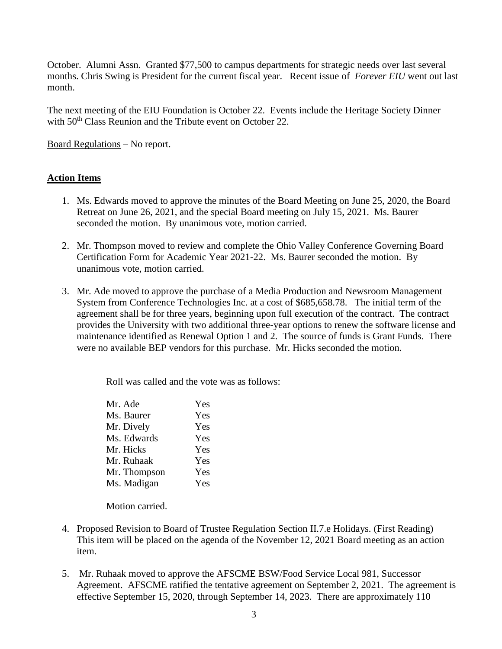October. Alumni Assn. Granted \$77,500 to campus departments for strategic needs over last several months. Chris Swing is President for the current fiscal year. Recent issue of *Forever EIU* went out last month.

The next meeting of the EIU Foundation is October 22. Events include the Heritage Society Dinner with 50<sup>th</sup> Class Reunion and the Tribute event on October 22.

Board Regulations – No report.

# **Action Items**

- 1. Ms. Edwards moved to approve the minutes of the Board Meeting on June 25, 2020, the Board Retreat on June 26, 2021, and the special Board meeting on July 15, 2021. Ms. Baurer seconded the motion. By unanimous vote, motion carried.
- 2. Mr. Thompson moved to review and complete the Ohio Valley Conference Governing Board Certification Form for Academic Year 2021-22. Ms. Baurer seconded the motion. By unanimous vote, motion carried.
- 3. Mr. Ade moved to approve the purchase of a Media Production and Newsroom Management System from Conference Technologies Inc. at a cost of \$685,658.78. The initial term of the agreement shall be for three years, beginning upon full execution of the contract. The contract provides the University with two additional three-year options to renew the software license and maintenance identified as Renewal Option 1 and 2. The source of funds is Grant Funds. There were no available BEP vendors for this purchase. Mr. Hicks seconded the motion.

Roll was called and the vote was as follows:

| Mr. Ade      | Yes |
|--------------|-----|
| Ms. Baurer   | Yes |
| Mr. Dively   | Yes |
| Ms. Edwards  | Yes |
| Mr. Hicks    | Yes |
| Mr. Ruhaak   | Yes |
| Mr. Thompson | Yes |
| Ms. Madigan  | Yes |
|              |     |

Motion carried.

- 4. Proposed Revision to Board of Trustee Regulation Section II.7.e Holidays. (First Reading) This item will be placed on the agenda of the November 12, 2021 Board meeting as an action item.
- 5. Mr. Ruhaak moved to approve the AFSCME BSW/Food Service Local 981, Successor Agreement. AFSCME ratified the tentative agreement on September 2, 2021. The agreement is effective September 15, 2020, through September 14, 2023. There are approximately 110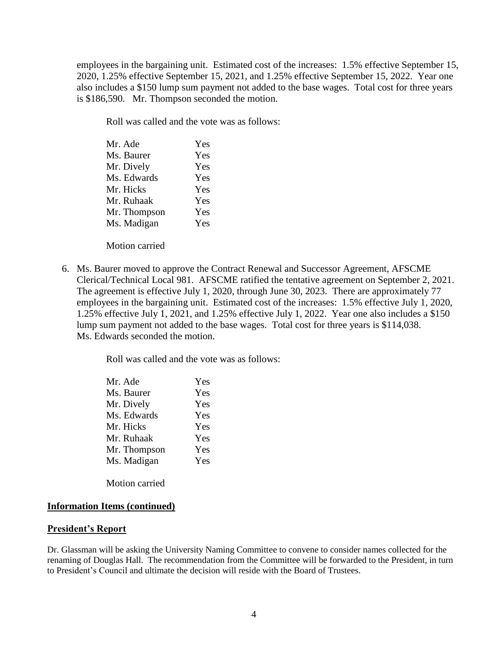employees in the bargaining unit. Estimated cost of the increases: 1.5% effective September 15, 2020, 1.25% effective September 15, 2021, and 1.25% effective September 15, 2022. Year one also includes a \$150 lump sum payment not added to the base wages. Total cost for three years is \$186,590. Mr. Thompson seconded the motion.

Roll was called and the vote was as follows:

| Mr. Ade      | Yes |
|--------------|-----|
| Ms. Baurer   | Yes |
| Mr. Dively   | Yes |
| Ms. Edwards  | Yes |
| Mr. Hicks    | Yes |
| Mr. Ruhaak   | Yes |
| Mr. Thompson | Yes |
| Ms. Madigan  | Yes |
|              |     |

Motion carried

6. Ms. Baurer moved to approve the Contract Renewal and Successor Agreement, AFSCME Clerical/Technical Local 981. AFSCME ratified the tentative agreement on September 2, 2021. The agreement is effective July 1, 2020, through June 30, 2023. There are approximately 77 employees in the bargaining unit. Estimated cost of the increases: 1.5% effective July 1, 2020, 1.25% effective July 1, 2021, and 1.25% effective July 1, 2022. Year one also includes a \$150 lump sum payment not added to the base wages. Total cost for three years is \$114,038. Ms. Edwards seconded the motion.

Roll was called and the vote was as follows:

| Mr. Ade      | Yes |
|--------------|-----|
| Ms. Baurer   | Yes |
| Mr. Dively   | Yes |
| Ms. Edwards  | Yes |
| Mr. Hicks    | Yes |
| Mr. Ruhaak   | Yes |
| Mr. Thompson | Yes |
| Ms. Madigan  | Yes |
|              |     |

Motion carried

#### **Information Items (continued)**

#### **President's Report**

Dr. Glassman will be asking the University Naming Committee to convene to consider names collected for the renaming of Douglas Hall. The recommendation from the Committee will be forwarded to the President, in turn to President's Council and ultimate the decision will reside with the Board of Trustees.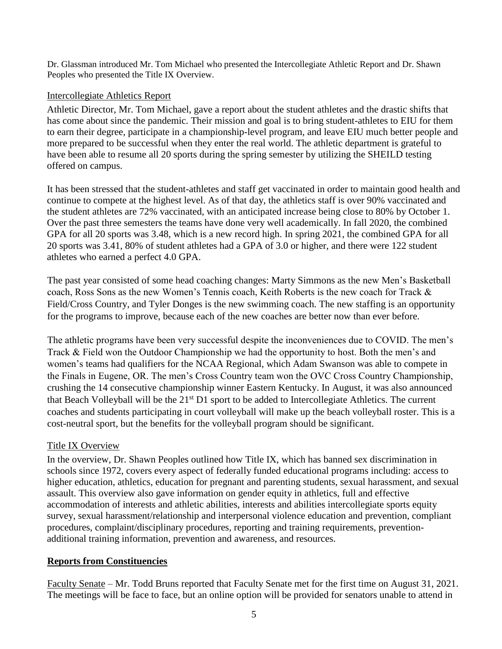Dr. Glassman introduced Mr. Tom Michael who presented the Intercollegiate Athletic Report and Dr. Shawn Peoples who presented the Title IX Overview.

# Intercollegiate Athletics Report

Athletic Director, Mr. Tom Michael, gave a report about the student athletes and the drastic shifts that has come about since the pandemic. Their mission and goal is to bring student-athletes to EIU for them to earn their degree, participate in a championship-level program, and leave EIU much better people and more prepared to be successful when they enter the real world. The athletic department is grateful to have been able to resume all 20 sports during the spring semester by utilizing the SHEILD testing offered on campus.

It has been stressed that the student-athletes and staff get vaccinated in order to maintain good health and continue to compete at the highest level. As of that day, the athletics staff is over 90% vaccinated and the student athletes are 72% vaccinated, with an anticipated increase being close to 80% by October 1. Over the past three semesters the teams have done very well academically. In fall 2020, the combined GPA for all 20 sports was 3.48, which is a new record high. In spring 2021, the combined GPA for all 20 sports was 3.41, 80% of student athletes had a GPA of 3.0 or higher, and there were 122 student athletes who earned a perfect 4.0 GPA.

The past year consisted of some head coaching changes: Marty Simmons as the new Men's Basketball coach, Ross Sons as the new Women's Tennis coach, Keith Roberts is the new coach for Track & Field/Cross Country, and Tyler Donges is the new swimming coach. The new staffing is an opportunity for the programs to improve, because each of the new coaches are better now than ever before.

The athletic programs have been very successful despite the inconveniences due to COVID. The men's Track & Field won the Outdoor Championship we had the opportunity to host. Both the men's and women's teams had qualifiers for the NCAA Regional, which Adam Swanson was able to compete in the Finals in Eugene, OR. The men's Cross Country team won the OVC Cross Country Championship, crushing the 14 consecutive championship winner Eastern Kentucky. In August, it was also announced that Beach Volleyball will be the 21<sup>st</sup> D1 sport to be added to Intercollegiate Athletics. The current coaches and students participating in court volleyball will make up the beach volleyball roster. This is a cost-neutral sport, but the benefits for the volleyball program should be significant.

# Title IX Overview

In the overview, Dr. Shawn Peoples outlined how Title IX, which has banned sex discrimination in schools since 1972, covers every aspect of federally funded educational programs including: access to higher education, athletics, education for pregnant and parenting students, sexual harassment, and sexual assault. This overview also gave information on gender equity in athletics, full and effective accommodation of interests and athletic abilities, interests and abilities intercollegiate sports equity survey, sexual harassment/relationship and interpersonal violence education and prevention, compliant procedures, complaint/disciplinary procedures, reporting and training requirements, preventionadditional training information, prevention and awareness, and resources.

# **Reports from Constituencies**

Faculty Senate – Mr. Todd Bruns reported that Faculty Senate met for the first time on August 31, 2021. The meetings will be face to face, but an online option will be provided for senators unable to attend in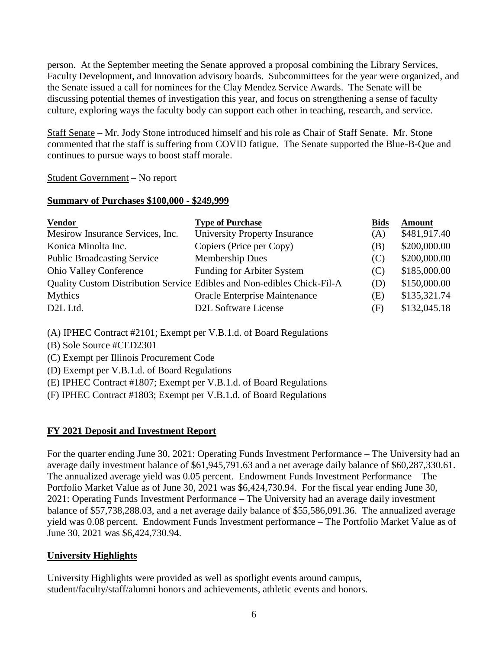person. At the September meeting the Senate approved a proposal combining the Library Services, Faculty Development, and Innovation advisory boards. Subcommittees for the year were organized, and the Senate issued a call for nominees for the Clay Mendez Service Awards. The Senate will be discussing potential themes of investigation this year, and focus on strengthening a sense of faculty culture, exploring ways the faculty body can support each other in teaching, research, and service.

Staff Senate – Mr. Jody Stone introduced himself and his role as Chair of Staff Senate. Mr. Stone commented that the staff is suffering from COVID fatigue. The Senate supported the Blue-B-Que and continues to pursue ways to boost staff morale.

# Student Government – No report

### **Summary of Purchases \$100,000 - \$249,999**

| <b>Vendor</b>                      | <b>Type of Purchase</b>                                                 | <b>Bids</b> | <b>Amount</b> |
|------------------------------------|-------------------------------------------------------------------------|-------------|---------------|
| Mesirow Insurance Services, Inc.   | University Property Insurance                                           | (A)         | \$481,917.40  |
| Konica Minolta Inc.                | Copiers (Price per Copy)                                                | (B)         | \$200,000.00  |
| <b>Public Broadcasting Service</b> | <b>Membership Dues</b>                                                  | (C)         | \$200,000.00  |
| <b>Ohio Valley Conference</b>      | Funding for Arbiter System                                              | (C)         | \$185,000.00  |
|                                    | Quality Custom Distribution Service Edibles and Non-edibles Chick-Fil-A | (D)         | \$150,000.00  |
| <b>Mythics</b>                     | Oracle Enterprise Maintenance                                           | (E)         | \$135,321.74  |
| D <sub>2</sub> L <sub>Ltd</sub> .  | D2L Software License                                                    | (F)         | \$132,045.18  |

(A) IPHEC Contract #2101; Exempt per V.B.1.d. of Board Regulations

(B) Sole Source #CED2301

(C) Exempt per Illinois Procurement Code

(D) Exempt per V.B.1.d. of Board Regulations

(E) IPHEC Contract #1807; Exempt per V.B.1.d. of Board Regulations

(F) IPHEC Contract #1803; Exempt per V.B.1.d. of Board Regulations

# **FY 2021 Deposit and Investment Report**

For the quarter ending June 30, 2021: Operating Funds Investment Performance – The University had an average daily investment balance of \$61,945,791.63 and a net average daily balance of \$60,287,330.61. The annualized average yield was 0.05 percent. Endowment Funds Investment Performance – The Portfolio Market Value as of June 30, 2021 was \$6,424,730.94. For the fiscal year ending June 30, 2021: Operating Funds Investment Performance – The University had an average daily investment balance of \$57,738,288.03, and a net average daily balance of \$55,586,091.36. The annualized average yield was 0.08 percent. Endowment Funds Investment performance – The Portfolio Market Value as of June 30, 2021 was \$6,424,730.94.

# **University Highlights**

University Highlights were provided as well as spotlight events around campus, student/faculty/staff/alumni honors and achievements, athletic events and honors.